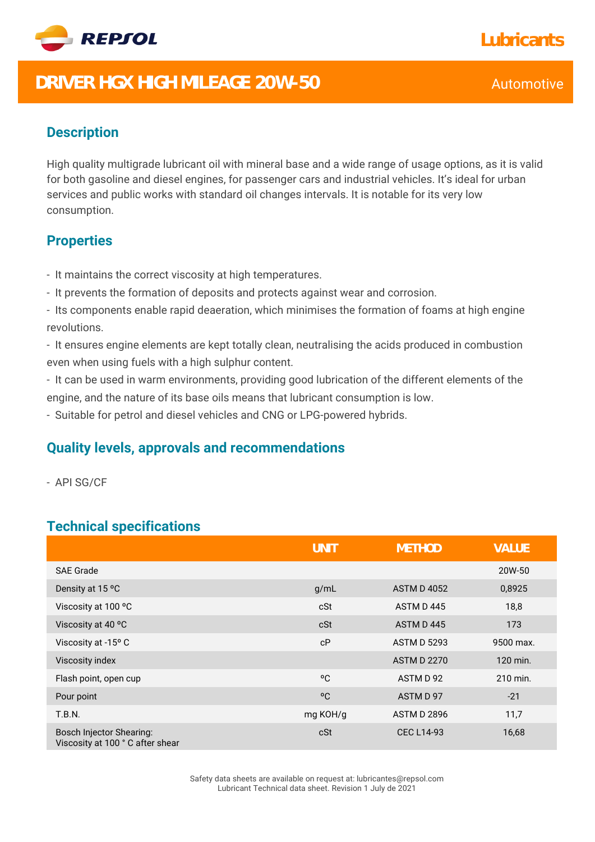

# **DRIVER HGX HIGH MILEAGE 20W-50** Automotive

### **Description**

High quality multigrade lubricant oil with mineral base and a wide range of usage options, as it is valid for both gasoline and diesel engines, for passenger cars and industrial vehicles. It's ideal for urban services and public works with standard oil changes intervals. It is notable for its very low consumption.

#### **Properties**

- It maintains the correct viscosity at high temperatures.
- It prevents the formation of deposits and protects against wear and corrosion.
- Its components enable rapid deaeration, which minimises the formation of foams at high engine revolutions.

- It ensures engine elements are kept totally clean, neutralising the acids produced in combustion even when using fuels with a high sulphur content.

- It can be used in warm environments, providing good lubrication of the different elements of the engine, and the nature of its base oils means that lubricant consumption is low.

- Suitable for petrol and diesel vehicles and CNG or LPG-powered hybrids.

#### **Quality levels, approvals and recommendations**

- API SG/CF

### **Technical specifications**

|                                                                    | <b>UNIT</b> | <b>METHOD</b>      | <b>VALUE</b> |
|--------------------------------------------------------------------|-------------|--------------------|--------------|
| <b>SAE Grade</b>                                                   |             |                    | 20W-50       |
| Density at 15 °C                                                   | g/mL        | <b>ASTM D 4052</b> | 0,8925       |
| Viscosity at 100 °C                                                | cSt         | ASTM D445          | 18,8         |
| Viscosity at 40 °C                                                 | cSt         | ASTM D445          | 173          |
| Viscosity at -15° C                                                | cP          | <b>ASTM D 5293</b> | 9500 max.    |
| Viscosity index                                                    |             | <b>ASTM D 2270</b> | 120 min.     |
| Flash point, open cup                                              | °C          | ASTM D 92          | 210 min.     |
| Pour point                                                         | °C          | ASTM D 97          | $-21$        |
| <b>T.B.N.</b>                                                      | mg KOH/g    | <b>ASTM D 2896</b> | 11,7         |
| <b>Bosch Injector Shearing:</b><br>Viscosity at 100 °C after shear | cSt         | <b>CEC L14-93</b>  | 16,68        |

## **Lubricants**